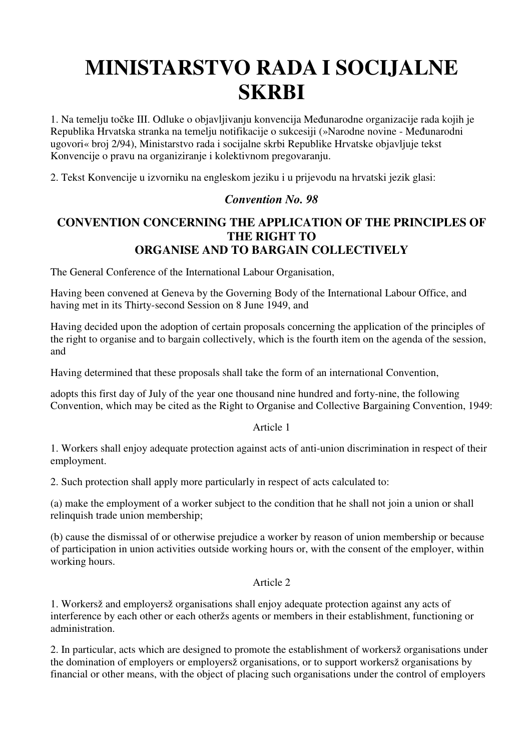# **MINISTARSTVO RADA I SOCIJALNE SKRBI**

1. Na temelju točke III. Odluke o objavljivanju konvencija Međunarodne organizacije rada kojih je Republika Hrvatska stranka na temelju notifikacije o sukcesiji (»Narodne novine - Međunarodni ugovori« broj 2/94), Ministarstvo rada i socijalne skrbi Republike Hrvatske objavljuje tekst Konvencije o pravu na organiziranje i kolektivnom pregovaranju.

2. Tekst Konvencije u izvorniku na engleskom jeziku i u prijevodu na hrvatski jezik glasi:

# *Convention No. 98*

# **CONVENTION CONCERNING THE APPLICATION OF THE PRINCIPLES OF THE RIGHT TO ORGANISE AND TO BARGAIN COLLECTIVELY**

The General Conference of the International Labour Organisation,

Having been convened at Geneva by the Governing Body of the International Labour Office, and having met in its Thirty-second Session on 8 June 1949, and

Having decided upon the adoption of certain proposals concerning the application of the principles of the right to organise and to bargain collectively, which is the fourth item on the agenda of the session, and

Having determined that these proposals shall take the form of an international Convention,

adopts this first day of July of the year one thousand nine hundred and forty-nine, the following Convention, which may be cited as the Right to Organise and Collective Bargaining Convention, 1949:

Article 1

1. Workers shall enjoy adequate protection against acts of anti-union discrimination in respect of their employment.

2. Such protection shall apply more particularly in respect of acts calculated to:

(a) make the employment of a worker subject to the condition that he shall not join a union or shall relinquish trade union membership;

(b) cause the dismissal of or otherwise prejudice a worker by reason of union membership or because of participation in union activities outside working hours or, with the consent of the employer, within working hours.

## Article 2

1. Workersž and employersž organisations shall enjoy adequate protection against any acts of interference by each other or each otheržs agents or members in their establishment, functioning or administration.

2. In particular, acts which are designed to promote the establishment of workersž organisations under the domination of employers or employersž organisations, or to support workersž organisations by financial or other means, with the object of placing such organisations under the control of employers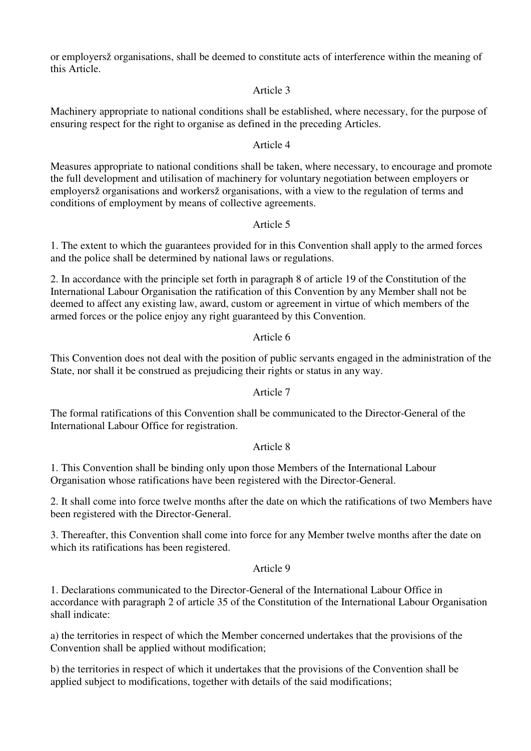or employersž organisations, shall be deemed to constitute acts of interference within the meaning of this Article.

#### Article 3

Machinery appropriate to national conditions shall be established, where necessary, for the purpose of ensuring respect for the right to organise as defined in the preceding Articles.

#### Article 4

Measures appropriate to national conditions shall be taken, where necessary, to encourage and promote the full development and utilisation of machinery for voluntary negotiation between employers or employersž organisations and workersž organisations, with a view to the regulation of terms and conditions of employment by means of collective agreements.

## Article 5

1. The extent to which the guarantees provided for in this Convention shall apply to the armed forces and the police shall be determined by national laws or regulations.

2. In accordance with the principle set forth in paragraph 8 of article 19 of the Constitution of the International Labour Organisation the ratification of this Convention by any Member shall not be deemed to affect any existing law, award, custom or agreement in virtue of which members of the armed forces or the police enjoy any right guaranteed by this Convention.

#### Article 6

This Convention does not deal with the position of public servants engaged in the administration of the State, nor shall it be construed as prejudicing their rights or status in any way.

#### Article 7

The formal ratifications of this Convention shall be communicated to the Director-General of the International Labour Office for registration.

#### Article 8

1. This Convention shall be binding only upon those Members of the International Labour Organisation whose ratifications have been registered with the Director-General.

2. It shall come into force twelve months after the date on which the ratifications of two Members have been registered with the Director-General.

3. Thereafter, this Convention shall come into force for any Member twelve months after the date on which its ratifications has been registered.

#### Article 9

1. Declarations communicated to the Director-General of the International Labour Office in accordance with paragraph 2 of article 35 of the Constitution of the International Labour Organisation shall indicate:

a) the territories in respect of which the Member concerned undertakes that the provisions of the Convention shall be applied without modification;

b) the territories in respect of which it undertakes that the provisions of the Convention shall be applied subject to modifications, together with details of the said modifications;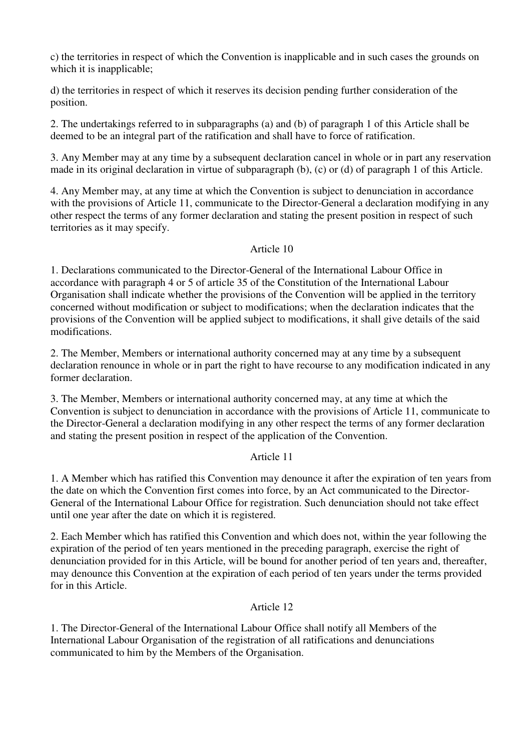c) the territories in respect of which the Convention is inapplicable and in such cases the grounds on which it is inapplicable;

d) the territories in respect of which it reserves its decision pending further consideration of the position.

2. The undertakings referred to in subparagraphs (a) and (b) of paragraph 1 of this Article shall be deemed to be an integral part of the ratification and shall have to force of ratification.

3. Any Member may at any time by a subsequent declaration cancel in whole or in part any reservation made in its original declaration in virtue of subparagraph (b), (c) or (d) of paragraph 1 of this Article.

4. Any Member may, at any time at which the Convention is subject to denunciation in accordance with the provisions of Article 11, communicate to the Director-General a declaration modifying in any other respect the terms of any former declaration and stating the present position in respect of such territories as it may specify.

#### Article 10

1. Declarations communicated to the Director-General of the International Labour Office in accordance with paragraph 4 or 5 of article 35 of the Constitution of the International Labour Organisation shall indicate whether the provisions of the Convention will be applied in the territory concerned without modification or subject to modifications; when the declaration indicates that the provisions of the Convention will be applied subject to modifications, it shall give details of the said modifications.

2. The Member, Members or international authority concerned may at any time by a subsequent declaration renounce in whole or in part the right to have recourse to any modification indicated in any former declaration.

3. The Member, Members or international authority concerned may, at any time at which the Convention is subject to denunciation in accordance with the provisions of Article 11, communicate to the Director-General a declaration modifying in any other respect the terms of any former declaration and stating the present position in respect of the application of the Convention.

## Article 11

1. A Member which has ratified this Convention may denounce it after the expiration of ten years from the date on which the Convention first comes into force, by an Act communicated to the Director-General of the International Labour Office for registration. Such denunciation should not take effect until one year after the date on which it is registered.

2. Each Member which has ratified this Convention and which does not, within the year following the expiration of the period of ten years mentioned in the preceding paragraph, exercise the right of denunciation provided for in this Article, will be bound for another period of ten years and, thereafter, may denounce this Convention at the expiration of each period of ten years under the terms provided for in this Article.

## Article 12

1. The Director-General of the International Labour Office shall notify all Members of the International Labour Organisation of the registration of all ratifications and denunciations communicated to him by the Members of the Organisation.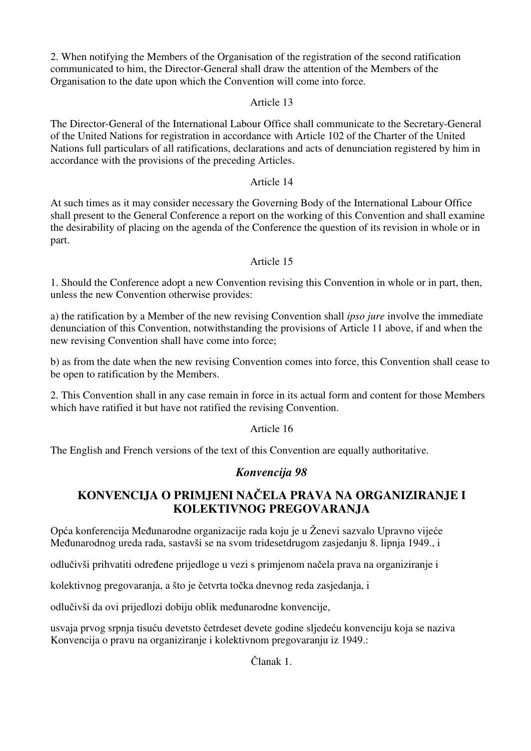2. When notifying the Members of the Organisation of the registration of the second ratification communicated to him, the Director-General shall draw the attention of the Members of the Organisation to the date upon which the Convention will come into force.

## Article 13

The Director-General of the International Labour Office shall communicate to the Secretary-General of the United Nations for registration in accordance with Article 102 of the Charter of the United Nations full particulars of all ratifications, declarations and acts of denunciation registered by him in accordance with the provisions of the preceding Articles.

## Article 14

At such times as it may consider necessary the Governing Body of the International Labour Office shall present to the General Conference a report on the working of this Convention and shall examine the desirability of placing on the agenda of the Conference the question of its revision in whole or in part.

## Article 15

1. Should the Conference adopt a new Convention revising this Convention in whole or in part, then, unless the new Convention otherwise provides:

a) the ratification by a Member of the new revising Convention shall *ipso jure* involve the immediate denunciation of this Convention, notwithstanding the provisions of Article 11 above, if and when the new revising Convention shall have come into force;

b) as from the date when the new revising Convention comes into force, this Convention shall cease to be open to ratification by the Members.

2. This Convention shall in any case remain in force in its actual form and content for those Members which have ratified it but have not ratified the revising Convention.

## Article 16

The English and French versions of the text of this Convention are equally authoritative.

# *Konvencija 98*

# **KONVENCIJA O PRIMJENI NA**Č**ELA PRAVA NA ORGANIZIRANJE I KOLEKTIVNOG PREGOVARANJA**

Opća konferencija Međunarodne organizacije rada koju je u Ženevi sazvalo Upravno vijeće Međunarodnog ureda rada, sastavši se na svom tridesetdrugom zasjedanju 8. lipnja 1949., i

odlučivši prihvatiti određene prijedloge u vezi s primjenom načela prava na organiziranje i

kolektivnog pregovaranja, a što je četvrta točka dnevnog reda zasjedanja, i

odlučivši da ovi prijedlozi dobiju oblik međunarodne konvencije,

usvaja prvog srpnja tisuću devetsto četrdeset devete godine sljedeću konvenciju koja se naziva Konvencija o pravu na organiziranje i kolektivnom pregovaranju iz 1949.:

Članak 1.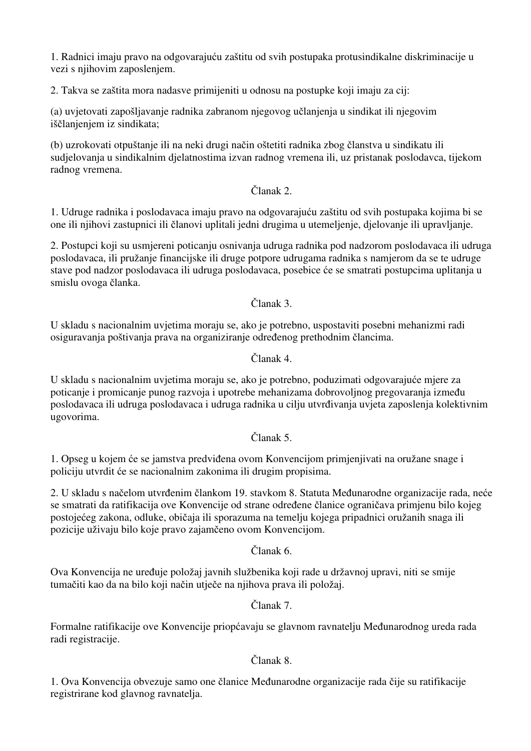1. Radnici imaju pravo na odgovarajuću zaštitu od svih postupaka protusindikalne diskriminacije u vezi s njihovim zaposlenjem.

2. Takva se zaštita mora nadasve primijeniti u odnosu na postupke koji imaju za cij:

(a) uvjetovati zapošljavanje radnika zabranom njegovog učlanjenja u sindikat ili njegovim iščlanjenjem iz sindikata;

(b) uzrokovati otpuštanje ili na neki drugi način oštetiti radnika zbog članstva u sindikatu ili sudjelovanja u sindikalnim djelatnostima izvan radnog vremena ili, uz pristanak poslodavca, tijekom radnog vremena.

## Članak 2.

1. Udruge radnika i poslodavaca imaju pravo na odgovarajuću zaštitu od svih postupaka kojima bi se one ili njihovi zastupnici ili članovi uplitali jedni drugima u utemeljenje, djelovanje ili upravljanje.

2. Postupci koji su usmjereni poticanju osnivanja udruga radnika pod nadzorom poslodavaca ili udruga poslodavaca, ili pružanje financijske ili druge potpore udrugama radnika s namjerom da se te udruge stave pod nadzor poslodavaca ili udruga poslodavaca, posebice će se smatrati postupcima uplitanja u smislu ovoga članka.

Članak 3.

U skladu s nacionalnim uvjetima moraju se, ako je potrebno, uspostaviti posebni mehanizmi radi osiguravanja poštivanja prava na organiziranje određenog prethodnim člancima.

Članak 4.

U skladu s nacionalnim uvjetima moraju se, ako je potrebno, poduzimati odgovarajuće mjere za poticanje i promicanje punog razvoja i upotrebe mehanizama dobrovoljnog pregovaranja između poslodavaca ili udruga poslodavaca i udruga radnika u cilju utvrđivanja uvjeta zaposlenja kolektivnim ugovorima.

## Članak 5.

1. Opseg u kojem će se jamstva predviđena ovom Konvencijom primjenjivati na oružane snage i policiju utvrdit će se nacionalnim zakonima ili drugim propisima.

2. U skladu s načelom utvrđenim člankom 19. stavkom 8. Statuta Međunarodne organizacije rada, neće se smatrati da ratifikacija ove Konvencije od strane određene članice ograničava primjenu bilo kojeg postojećeg zakona, odluke, običaja ili sporazuma na temelju kojega pripadnici oružanih snaga ili pozicije uživaju bilo koje pravo zajamčeno ovom Konvencijom.

Članak 6.

Ova Konvencija ne uređuje položaj javnih službenika koji rade u državnoj upravi, niti se smije tumačiti kao da na bilo koji način utječe na njihova prava ili položaj.

Članak 7.

Formalne ratifikacije ove Konvencije priopćavaju se glavnom ravnatelju Međunarodnog ureda rada radi registracije.

# Članak 8.

1. Ova Konvencija obvezuje samo one članice Međunarodne organizacije rada čije su ratifikacije registrirane kod glavnog ravnatelja.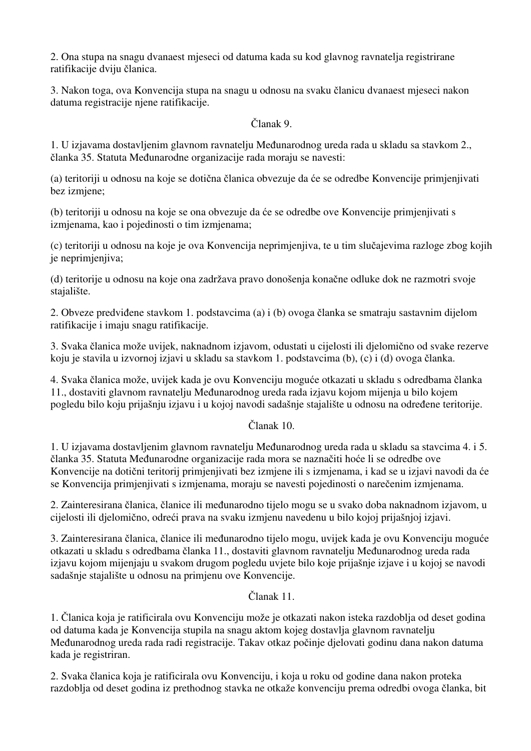2. Ona stupa na snagu dvanaest mjeseci od datuma kada su kod glavnog ravnatelja registrirane ratifikacije dviju članica.

3. Nakon toga, ova Konvencija stupa na snagu u odnosu na svaku članicu dvanaest mjeseci nakon datuma registracije njene ratifikacije.

Članak 9.

1. U izjavama dostavljenim glavnom ravnatelju Međunarodnog ureda rada u skladu sa stavkom 2., članka 35. Statuta Međunarodne organizacije rada moraju se navesti:

(a) teritoriji u odnosu na koje se dotična članica obvezuje da će se odredbe Konvencije primjenjivati bez izmjene;

(b) teritoriji u odnosu na koje se ona obvezuje da će se odredbe ove Konvencije primjenjivati s izmjenama, kao i pojedinosti o tim izmjenama;

(c) teritoriji u odnosu na koje je ova Konvencija neprimjenjiva, te u tim slučajevima razloge zbog kojih je neprimjenjiva;

(d) teritorije u odnosu na koje ona zadržava pravo donošenja konačne odluke dok ne razmotri svoje stajalište.

2. Obveze predviđene stavkom 1. podstavcima (a) i (b) ovoga članka se smatraju sastavnim dijelom ratifikacije i imaju snagu ratifikacije.

3. Svaka članica može uvijek, naknadnom izjavom, odustati u cijelosti ili djelomično od svake rezerve koju je stavila u izvornoj izjavi u skladu sa stavkom 1. podstavcima (b), (c) i (d) ovoga članka.

4. Svaka članica može, uvijek kada je ovu Konvenciju moguće otkazati u skladu s odredbama članka 11., dostaviti glavnom ravnatelju Međunarodnog ureda rada izjavu kojom mijenja u bilo kojem pogledu bilo koju prijašnju izjavu i u kojoj navodi sadašnje stajalište u odnosu na određene teritorije.

Članak 10.

1. U izjavama dostavljenim glavnom ravnatelju Međunarodnog ureda rada u skladu sa stavcima 4. i 5. članka 35. Statuta Međunarodne organizacije rada mora se naznačiti hoće li se odredbe ove Konvencije na dotični teritorij primjenjivati bez izmjene ili s izmjenama, i kad se u izjavi navodi da će se Konvencija primjenjivati s izmjenama, moraju se navesti pojedinosti o narečenim izmjenama.

2. Zainteresirana članica, članice ili međunarodno tijelo mogu se u svako doba naknadnom izjavom, u cijelosti ili djelomično, odreći prava na svaku izmjenu navedenu u bilo kojoj prijašnjoj izjavi.

3. Zainteresirana članica, članice ili međunarodno tijelo mogu, uvijek kada je ovu Konvenciju moguće otkazati u skladu s odredbama članka 11., dostaviti glavnom ravnatelju Međunarodnog ureda rada izjavu kojom mijenjaju u svakom drugom pogledu uvjete bilo koje prijašnje izjave i u kojoj se navodi sadašnje stajalište u odnosu na primjenu ove Konvencije.

Članak 11.

1. Članica koja je ratificirala ovu Konvenciju može je otkazati nakon isteka razdoblja od deset godina od datuma kada je Konvencija stupila na snagu aktom kojeg dostavlja glavnom ravnatelju Međunarodnog ureda rada radi registracije. Takav otkaz počinje djelovati godinu dana nakon datuma kada je registriran.

2. Svaka članica koja je ratificirala ovu Konvenciju, i koja u roku od godine dana nakon proteka razdoblja od deset godina iz prethodnog stavka ne otkaže konvenciju prema odredbi ovoga članka, bit